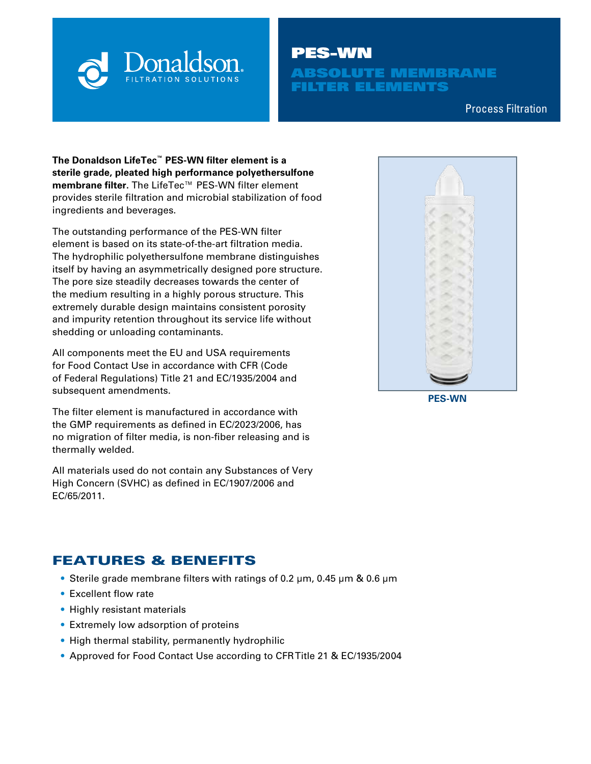

# PES-WN

**BSOLUTE MEMBRANE** FILTER ELEMENTS

Process Filtration

**The Donaldson LifeTec™ PES-WN filter element is a sterile grade, pleated high performance polyethersulfone membrane filter.** The LifeTec™ PES-WN filter element provides sterile filtration and microbial stabilization of food ingredients and beverages.

The outstanding performance of the PES-WN filter element is based on its state-of-the-art filtration media. The hydrophilic polyethersulfone membrane distinguishes itself by having an asymmetrically designed pore structure. The pore size steadily decreases towards the center of the medium resulting in a highly porous structure. This extremely durable design maintains consistent porosity and impurity retention throughout its service life without shedding or unloading contaminants.

All components meet the EU and USA requirements for Food Contact Use in accordance with CFR (Code of Federal Regulations) Title 21 and EC/1935/2004 and subsequent amendments.

The filter element is manufactured in accordance with the GMP requirements as defined in EC/2023/2006, has no migration of filter media, is non-fiber releasing and is thermally welded.

All materials used do not contain any Substances of Very High Concern (SVHC) as defined in EC/1907/2006 and EC/65/2011.

## FEATURES & BENEFITS

- Sterile grade membrane filters with ratings of 0.2 µm, 0.45 µm & 0.6 µm
- Excellent flow rate
- Highly resistant materials
- Extremely low adsorption of proteins
- High thermal stability, permanently hydrophilic
- Approved for Food Contact Use according to CFR Title 21 & EC/1935/2004

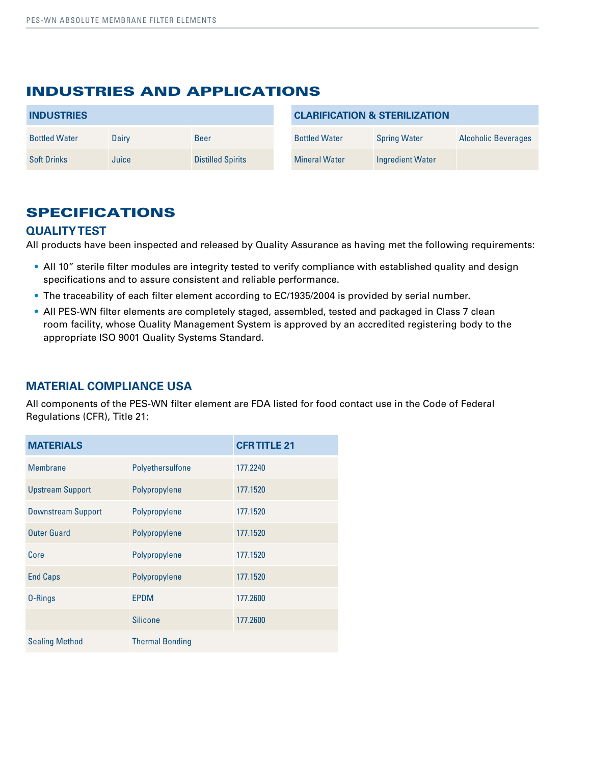### INDUSTRIES AND APPLICATIONS

| <b>INDUSTRIES</b>    |       | <b>CLARIFICATION &amp; STERILIZATION</b> |                      |                     |                            |
|----------------------|-------|------------------------------------------|----------------------|---------------------|----------------------------|
| <b>Bottled Water</b> | Dairy | <b>Beer</b>                              | <b>Bottled Water</b> | <b>Spring Water</b> | <b>Alcoholic Beverages</b> |
| <b>Soft Drinks</b>   | Juice | <b>Distilled Spirits</b>                 | <b>Mineral Water</b> | Ingredient Water    |                            |

## SPECIFICATIONS

#### **QUALITY TEST**

All products have been inspected and released by Quality Assurance as having met the following requirements:

- All 10" sterile filter modules are integrity tested to verify compliance with established quality and design specifications and to assure consistent and reliable performance.
- The traceability of each filter element according to EC/1935/2004 is provided by serial number.
- All PES-WN filter elements are completely staged, assembled, tested and packaged in Class 7 clean room facility, whose Quality Management System is approved by an accredited registering body to the appropriate ISO 9001 Quality Systems Standard.

#### **MATERIAL COMPLIANCE USA**

All components of the PES-WN filter element are FDA listed for food contact use in the Code of Federal Regulations (CFR), Title 21:

| <b>MATERIALS</b>          |                        | <b>CFR TITLE 21</b> |
|---------------------------|------------------------|---------------------|
| <b>Membrane</b>           | Polyethersulfone       | 177.2240            |
| <b>Upstream Support</b>   | Polypropylene          | 177.1520            |
| <b>Downstream Support</b> | Polypropylene          | 177.1520            |
| <b>Outer Guard</b>        | Polypropylene          | 177.1520            |
| Core                      | Polypropylene          | 177.1520            |
| <b>End Caps</b>           | Polypropylene          | 177.1520            |
| 0-Rings                   | <b>EPDM</b>            | 177.2600            |
|                           | <b>Silicone</b>        | 177.2600            |
| <b>Sealing Method</b>     | <b>Thermal Bonding</b> |                     |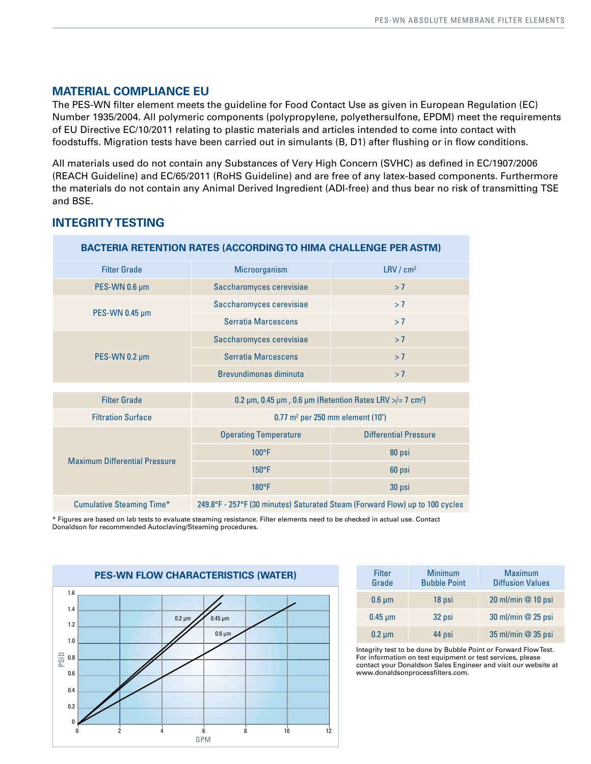#### **MATERIAL COMPLIANCE EU**

The PES-WN filter element meets the guideline for Food Contact Use as given in European Regulation (EC) Number 1935/2004. All polymeric components (polypropylene, polyethersulfone, EPDM) meet the requirements of EU Directive EC/10/2011 relating to plastic materials and articles intended to come into contact with foodstuffs. Migration tests have been carried out in simulants (B, D1) after flushing or in flow conditions.

All materials used do not contain any Substances of Very High Concern (SVHC) as defined in EC/1907/2006 (REACH Guideline) and EC/65/2011 (RoHS Guideline) and are free of any latex-based components. Furthermore the materials do not contain any Animal Derived Ingredient (ADI-free) and thus bear no risk of transmitting TSE and BSE.

| <b>BACTERIA RETENTION RATES (ACCORDING TO HIMA CHALLENGE PER ASTM)</b>                                           |                                                                                     |                              |  |  |  |
|------------------------------------------------------------------------------------------------------------------|-------------------------------------------------------------------------------------|------------------------------|--|--|--|
| <b>Filter Grade</b>                                                                                              | Microorganism                                                                       | LRV/cm <sup>2</sup>          |  |  |  |
| PES-WN 0.6 µm                                                                                                    | Saccharomyces cerevisiae                                                            | >7                           |  |  |  |
|                                                                                                                  | Saccharomyces cerevisiae                                                            | >7                           |  |  |  |
| PES-WN 0.45 µm                                                                                                   | <b>Serratia Marcescens</b>                                                          | >7                           |  |  |  |
|                                                                                                                  | Saccharomyces cerevisiae                                                            | >7                           |  |  |  |
| PES-WN 0.2 µm                                                                                                    | <b>Serratia Marcescens</b>                                                          | >7                           |  |  |  |
|                                                                                                                  | Brevundimonas diminuta<br>>7                                                        |                              |  |  |  |
|                                                                                                                  |                                                                                     |                              |  |  |  |
| <b>Filter Grade</b>                                                                                              | 0.2 $\mu$ m, 0.45 $\mu$ m, 0.6 $\mu$ m (Retention Rates LRV >/= 7 cm <sup>2</sup> ) |                              |  |  |  |
| <b>Filtration Surface</b>                                                                                        | $0.77$ m <sup>2</sup> per 250 mm element (10")                                      |                              |  |  |  |
|                                                                                                                  | <b>Operating Temperature</b>                                                        | <b>Differential Pressure</b> |  |  |  |
| <b>Maximum Differential Pressure</b>                                                                             | $100^{\circ}$ F                                                                     | 80 psi                       |  |  |  |
|                                                                                                                  | $150^{\circ}$ F                                                                     | 60 psi                       |  |  |  |
|                                                                                                                  | $180^{\circ}F$                                                                      | 30 psi                       |  |  |  |
| <b>Cumulative Steaming Time*</b><br>249.8°F - 257°F (30 minutes) Saturated Steam (Forward Flow) up to 100 cycles |                                                                                     |                              |  |  |  |

#### **INTEGRITY TESTING**

\* Figures are based on lab tests to evaluate steaming resistance. Filter elements need to be checked in actual use. Contact Donaldson for recommended Autoclaving/Steaming procedures.



| Filter<br>Grade | <b>Minimum</b><br><b>Bubble Point</b> | <b>Maximum</b><br><b>Diffusion Values</b> |
|-----------------|---------------------------------------|-------------------------------------------|
| $0.6 \mu m$     | 18 psi                                | 20 ml/min @ 10 psi                        |
| $0.45 \mu m$    | 32 psi                                | 30 ml/min @ 25 psi                        |
| $0.2 \mu m$     | 44 psi                                | 35 ml/min @ 35 psi                        |

Integrity test to be done by Bubble Point or Forward Flow Test. For information on test equipment or test services, please contact your Donaldson Sales Engineer and visit our website at www.donaldsonprocessfilters.com.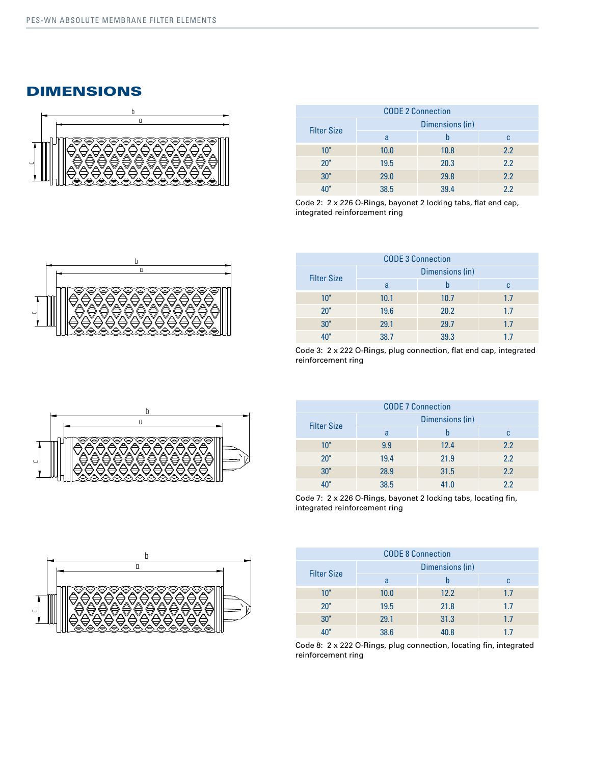#### DIMENSIONS



| <b>CODE 2 Connection</b> |                 |      |     |  |
|--------------------------|-----------------|------|-----|--|
| <b>Filter Size</b>       | Dimensions (in) |      |     |  |
|                          | a               |      | c   |  |
| 10"                      | 10.0            | 10.8 | 2.2 |  |
| 20"                      | 19.5            | 20.3 | 2.2 |  |
| 30"                      | 29.0            | 29.8 | 2.2 |  |
|                          | 38.5            | 39.4 | 22  |  |

Code 2: 2 x 226 O-Rings, bayonet 2 locking tabs, flat end cap, integrated reinforcement ring



| <b>CODE 3 Connection</b> |                 |      |     |  |
|--------------------------|-----------------|------|-----|--|
| <b>Filter Size</b>       | Dimensions (in) |      |     |  |
|                          | a               |      | c   |  |
| 10"                      | 10.1            | 10.7 | 1.7 |  |
| 20"                      | 19.6            | 20.2 | 1.7 |  |
| 30"                      | 29.1            | 29.7 | 1.7 |  |
|                          | 38.7            | 39.3 | 17  |  |

Code 3: 2 x 222 O-Rings, plug connection, flat end cap, integrated reinforcement ring

| <b>CODE 7 Connection</b> |                 |      |     |  |
|--------------------------|-----------------|------|-----|--|
|                          | Dimensions (in) |      |     |  |
| <b>Filter Size</b>       | a               |      | c   |  |
| 10"                      | 9.9             | 12.4 | 2.2 |  |
| 20"                      | 19.4            | 21.9 | 2.2 |  |
| 30"                      | 28.9            | 31.5 | 2.2 |  |
|                          | 38.5            | 41.0 | 2.2 |  |

Code 7: 2 x 226 O-Rings, bayonet 2 locking tabs, locating fin, integrated reinforcement ring

| <b>CODE 8 Connection</b> |                 |      |     |  |
|--------------------------|-----------------|------|-----|--|
| <b>Filter Size</b>       | Dimensions (in) |      |     |  |
|                          | a               | h    | C   |  |
| 10"                      | 10.0            | 12.2 | 1.7 |  |
| 20"                      | 19.5            | 21.8 | 1.7 |  |
| 30"                      | 29.1            | 31.3 | 1.7 |  |
|                          | 38.6            | 40.8 | 17  |  |

Code 8: 2 x 222 O-Rings, plug connection, locating fin, integrated reinforcement ring